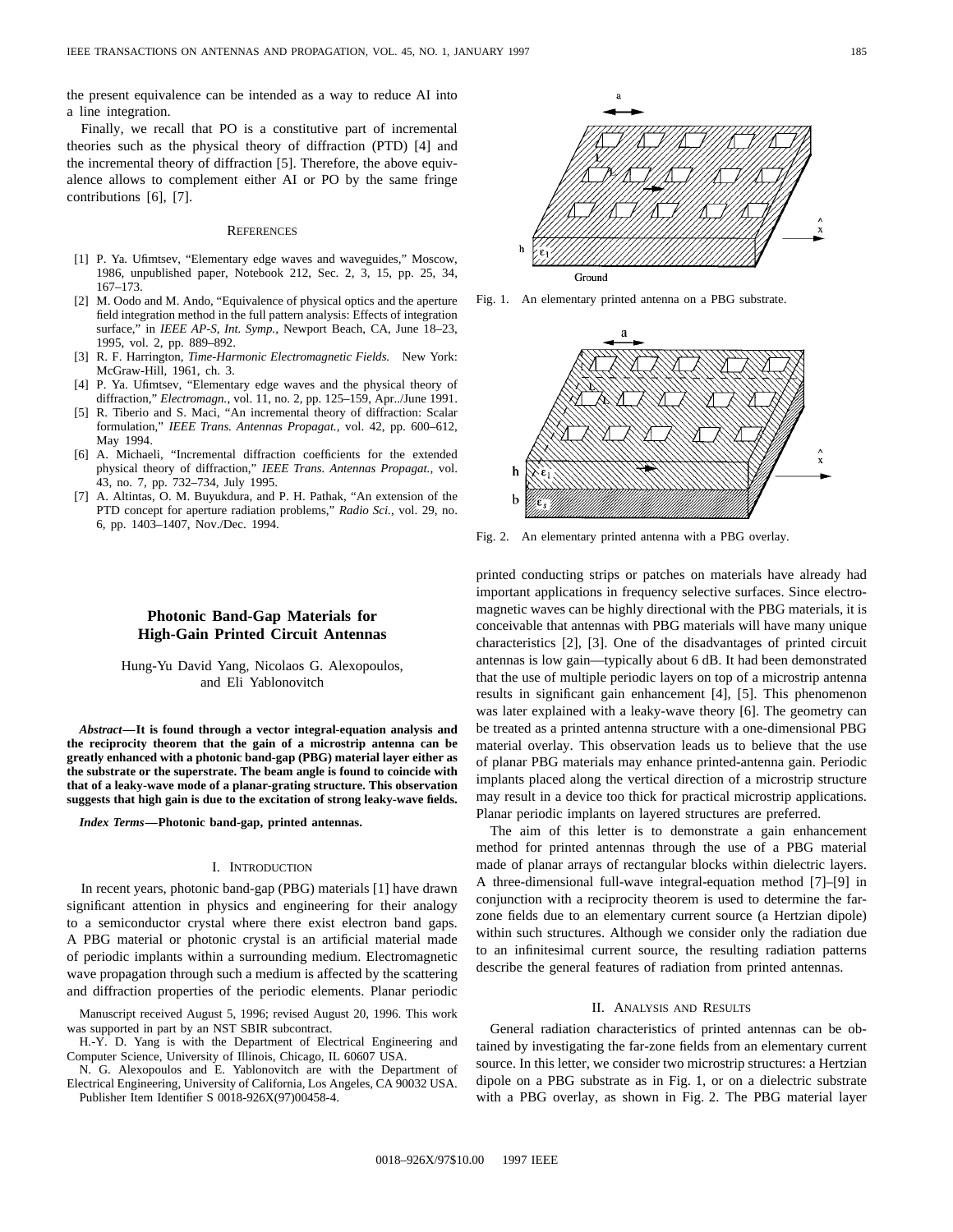the present equivalence can be intended as a way to reduce AI into a line integration.

Finally, we recall that PO is a constitutive part of incremental theories such as the physical theory of diffraction (PTD) [4] and the incremental theory of diffraction [5]. Therefore, the above equivalence allows to complement either AI or PO by the same fringe contributions [6], [7].

### **REFERENCES**

- [1] P. Ya. Ufimtsev, "Elementary edge waves and waveguides," Moscow, 1986, unpublished paper, Notebook 212, Sec. 2, 3, 15, pp. 25, 34, 167–173.
- [2] M. Oodo and M. Ando, "Equivalence of physical optics and the aperture field integration method in the full pattern analysis: Effects of integration surface," in *IEEE AP-S, Int. Symp.,* Newport Beach, CA, June 18–23, 1995, vol. 2, pp. 889–892.
- [3] R. F. Harrington, *Time-Harmonic Electromagnetic Fields.* New York: McGraw-Hill, 1961, ch. 3.
- [4] P. Ya. Ufimtsev, "Elementary edge waves and the physical theory of diffraction," *Electromagn.*, vol. 11, no. 2, pp. 125–159, Apr../June 1991.
- [5] R. Tiberio and S. Maci, "An incremental theory of diffraction: Scalar formulation," *IEEE Trans. Antennas Propagat.,* vol. 42, pp. 600–612, May 1994.
- [6] A. Michaeli, "Incremental diffraction coefficients for the extended physical theory of diffraction," *IEEE Trans. Antennas Propagat.,* vol. 43, no. 7, pp. 732–734, July 1995.
- [7] A. Altintas, O. M. Buyukdura, and P. H. Pathak, "An extension of the PTD concept for aperture radiation problems," *Radio Sci.*, vol. 29, no. 6, pp. 1403–1407, Nov./Dec. 1994.

# **Photonic Band-Gap Materials for High-Gain Printed Circuit Antennas**

Hung-Yu David Yang, Nicolaos G. Alexopoulos, and Eli Yablonovitch

*Abstract—***It is found through a vector integral-equation analysis and the reciprocity theorem that the gain of a microstrip antenna can be greatly enhanced with a photonic band-gap (PBG) material layer either as the substrate or the superstrate. The beam angle is found to coincide with that of a leaky-wave mode of a planar-grating structure. This observation suggests that high gain is due to the excitation of strong leaky-wave fields.**

*Index Terms—***Photonic band-gap, printed antennas.**

#### I. INTRODUCTION

In recent years, photonic band-gap (PBG) materials [1] have drawn significant attention in physics and engineering for their analogy to a semiconductor crystal where there exist electron band gaps. A PBG material or photonic crystal is an artificial material made of periodic implants within a surrounding medium. Electromagnetic wave propagation through such a medium is affected by the scattering and diffraction properties of the periodic elements. Planar periodic

Manuscript received August 5, 1996; revised August 20, 1996. This work was supported in part by an NST SBIR subcontract.

H.-Y. D. Yang is with the Department of Electrical Engineering and Computer Science, University of Illinois, Chicago, IL 60607 USA.

N. G. Alexopoulos and E. Yablonovitch are with the Department of Electrical Engineering, University of California, Los Angeles, CA 90032 USA. Publisher Item Identifier S 0018-926X(97)00458-4.



Fig. 1. An elementary printed antenna on a PBG substrate.



Fig. 2. An elementary printed antenna with a PBG overlay.

printed conducting strips or patches on materials have already had important applications in frequency selective surfaces. Since electromagnetic waves can be highly directional with the PBG materials, it is conceivable that antennas with PBG materials will have many unique characteristics [2], [3]. One of the disadvantages of printed circuit antennas is low gain—typically about 6 dB. It had been demonstrated that the use of multiple periodic layers on top of a microstrip antenna results in significant gain enhancement [4], [5]. This phenomenon was later explained with a leaky-wave theory [6]. The geometry can be treated as a printed antenna structure with a one-dimensional PBG material overlay. This observation leads us to believe that the use of planar PBG materials may enhance printed-antenna gain. Periodic implants placed along the vertical direction of a microstrip structure may result in a device too thick for practical microstrip applications. Planar periodic implants on layered structures are preferred.

The aim of this letter is to demonstrate a gain enhancement method for printed antennas through the use of a PBG material made of planar arrays of rectangular blocks within dielectric layers. A three-dimensional full-wave integral-equation method [7]–[9] in conjunction with a reciprocity theorem is used to determine the farzone fields due to an elementary current source (a Hertzian dipole) within such structures. Although we consider only the radiation due to an infinitesimal current source, the resulting radiation patterns describe the general features of radiation from printed antennas.

## II. ANALYSIS AND RESULTS

General radiation characteristics of printed antennas can be obtained by investigating the far-zone fields from an elementary current source. In this letter, we consider two microstrip structures: a Hertzian dipole on a PBG substrate as in Fig. 1, or on a dielectric substrate with a PBG overlay, as shown in Fig. 2. The PBG material layer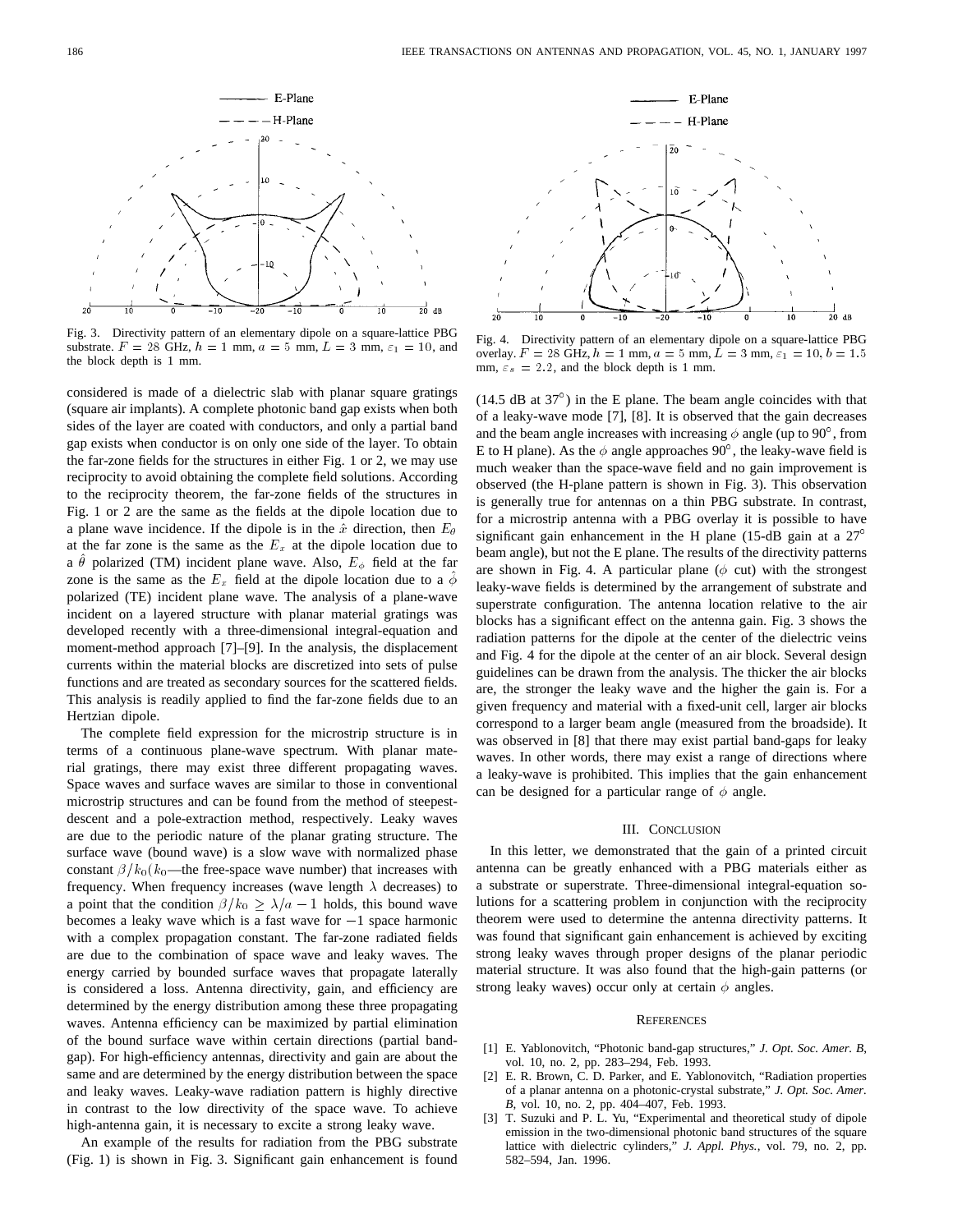

Fig. 3. Directivity pattern of an elementary dipole on a square-lattice PBG substrate.  $F = 28$  GHz,  $h = 1$  mm,  $a = 5$  mm,  $L = 3$  mm,  $\varepsilon_1 = 10$ , and the block depth is 1 mm.

considered is made of a dielectric slab with planar square gratings (square air implants). A complete photonic band gap exists when both sides of the layer are coated with conductors, and only a partial band gap exists when conductor is on only one side of the layer. To obtain the far-zone fields for the structures in either Fig. 1 or 2, we may use reciprocity to avoid obtaining the complete field solutions. According to the reciprocity theorem, the far-zone fields of the structures in Fig. 1 or 2 are the same as the fields at the dipole location due to a plane wave incidence. If the dipole is in the  $\hat{x}$  direction, then  $E_{\theta}$ at the far zone is the same as the  $E_x$  at the dipole location due to a  $\hat{\theta}$  polarized (TM) incident plane wave. Also,  $E_{\phi}$  field at the far zone is the same as the  $E_x$  field at the dipole location due to a  $\hat{\phi}$ polarized (TE) incident plane wave. The analysis of a plane-wave incident on a layered structure with planar material gratings was developed recently with a three-dimensional integral-equation and moment-method approach [7]–[9]. In the analysis, the displacement currents within the material blocks are discretized into sets of pulse functions and are treated as secondary sources for the scattered fields. This analysis is readily applied to find the far-zone fields due to an Hertzian dipole.

The complete field expression for the microstrip structure is in terms of a continuous plane-wave spectrum. With planar material gratings, there may exist three different propagating waves. Space waves and surface waves are similar to those in conventional microstrip structures and can be found from the method of steepestdescent and a pole-extraction method, respectively. Leaky waves are due to the periodic nature of the planar grating structure. The surface wave (bound wave) is a slow wave with normalized phase constant  $\beta/k_0(k_0)$ —the free-space wave number) that increases with frequency. When frequency increases (wave length  $\lambda$  decreases) to a point that the condition  $\beta/k_0 \geq \lambda/a - 1$  holds, this bound wave becomes a leaky wave which is a fast wave for  $-1$  space harmonic with a complex propagation constant. The far-zone radiated fields are due to the combination of space wave and leaky waves. The energy carried by bounded surface waves that propagate laterally is considered a loss. Antenna directivity, gain, and efficiency are determined by the energy distribution among these three propagating waves. Antenna efficiency can be maximized by partial elimination of the bound surface wave within certain directions (partial bandgap). For high-efficiency antennas, directivity and gain are about the same and are determined by the energy distribution between the space and leaky waves. Leaky-wave radiation pattern is highly directive in contrast to the low directivity of the space wave. To achieve high-antenna gain, it is necessary to excite a strong leaky wave.

An example of the results for radiation from the PBG substrate (Fig. 1) is shown in Fig. 3. Significant gain enhancement is found



Fig. 4. Directivity pattern of an elementary dipole on a square-lattice PBG overlay.  $F = 28$  GHz,  $h = 1$  mm,  $a = 5$  mm,  $L = 3$  mm,  $\varepsilon_1 = 10, b = 1.5$ mm,  $\varepsilon_s = 2.2$ , and the block depth is 1 mm.

 $(14.5$  dB at  $37^{\circ})$  in the E plane. The beam angle coincides with that of a leaky-wave mode [7], [8]. It is observed that the gain decreases and the beam angle increases with increasing  $\phi$  angle (up to 90 $^{\circ}$ , from E to H plane). As the  $\phi$  angle approaches 90°, the leaky-wave field is much weaker than the space-wave field and no gain improvement is observed (the H-plane pattern is shown in Fig. 3). This observation is generally true for antennas on a thin PBG substrate. In contrast, for a microstrip antenna with a PBG overlay it is possible to have significant gain enhancement in the H plane (15-dB gain at a  $27^{\circ}$ beam angle), but not the E plane. The results of the directivity patterns are shown in Fig. 4. A particular plane ( $\phi$  cut) with the strongest leaky-wave fields is determined by the arrangement of substrate and superstrate configuration. The antenna location relative to the air blocks has a significant effect on the antenna gain. Fig. 3 shows the radiation patterns for the dipole at the center of the dielectric veins and Fig. 4 for the dipole at the center of an air block. Several design guidelines can be drawn from the analysis. The thicker the air blocks are, the stronger the leaky wave and the higher the gain is. For a given frequency and material with a fixed-unit cell, larger air blocks correspond to a larger beam angle (measured from the broadside). It was observed in [8] that there may exist partial band-gaps for leaky waves. In other words, there may exist a range of directions where a leaky-wave is prohibited. This implies that the gain enhancement can be designed for a particular range of  $\phi$  angle.

### III. CONCLUSION

In this letter, we demonstrated that the gain of a printed circuit antenna can be greatly enhanced with a PBG materials either as a substrate or superstrate. Three-dimensional integral-equation solutions for a scattering problem in conjunction with the reciprocity theorem were used to determine the antenna directivity patterns. It was found that significant gain enhancement is achieved by exciting strong leaky waves through proper designs of the planar periodic material structure. It was also found that the high-gain patterns (or strong leaky waves) occur only at certain  $\phi$  angles.

### **REFERENCES**

- [1] E. Yablonovitch, "Photonic band-gap structures," *J. Opt. Soc. Amer. B*, vol. 10, no. 2, pp. 283–294, Feb. 1993.
- [2] E. R. Brown, C. D. Parker, and E. Yablonovitch, "Radiation properties of a planar antenna on a photonic-crystal substrate," *J. Opt. Soc. Amer. B*, vol. 10, no. 2, pp. 404–407, Feb. 1993.
- [3] T. Suzuki and P. L. Yu, "Experimental and theoretical study of dipole emission in the two-dimensional photonic band structures of the square lattice with dielectric cylinders," *J. Appl. Phys.*, vol. 79, no. 2, pp. 582–594, Jan. 1996.